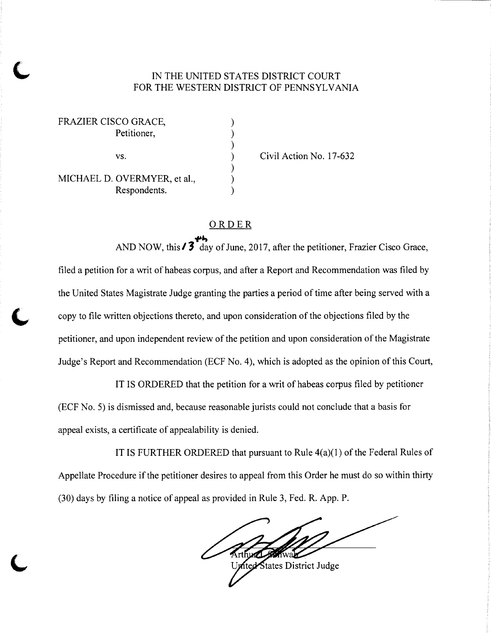## IN THE UNITED STATES DISTRICT COURT FOR THE WESTERN DISTRICT OF PENNSYLVANIA

| FRAZIER CISCO GRACE,         |  |
|------------------------------|--|
| Petitioner,                  |  |
|                              |  |
| VS.                          |  |
|                              |  |
| MICHAEL D. OVERMYER, et al., |  |
| Respondents.                 |  |
|                              |  |

Civil Action No. 17-632

## ORDER

.,...,

AND NOW, this  $\frac{3}{3}$  day of June, 2017, after the petitioner, Frazier Cisco Grace, filed a petition for a writ of habeas corpus, and after a Report and Recommendation was filed by the United States Magistrate Judge granting the parties a period of time after being served with a copy to file written objections thereto, and upon consideration of the objections filed by the petitioner, and upon independent review of the petition and upon consideration of the Magistrate Judge's Report and Recommendation (ECF No. 4), which is adopted as the opinion of this Court,

IT IS ORDERED that the petition for a writ of habeas corpus filed by petitioner (ECF No. 5) is dismissed and, because reasonable jurists could not conclude that a basis for appeal exists, a certificate of appealability is denied.

IT IS FURTHER ORDERED that pursuant to Rule  $4(a)(1)$  of the Federal Rules of Appellate Procedure if the petitioner desires to appeal from this Order he must do so within thirty (30) days by filing a notice of appeal as provided in Rule 3, Fed. R. App. P.

w:

ited States District Judge